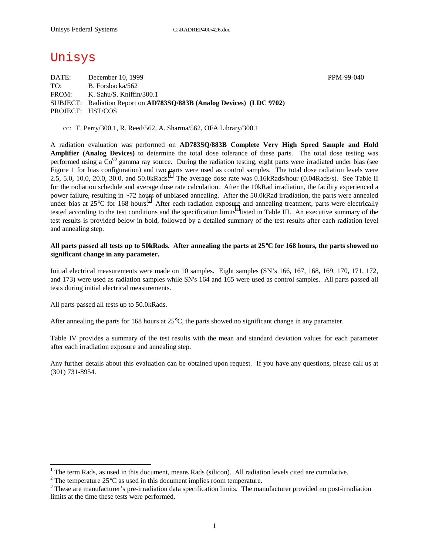# Unisys

DATE: December 10, 1999 **PPM-99-040** TO: B. Forsbacka/562 FROM: K. Sahu/S. Kniffin/300.1 SUBJECT: Radiation Report on **AD783SQ/883B (Analog Devices) (LDC 9702)** PROJECT: HST/COS

cc: T. Perry/300.1, R. Reed/562, A. Sharma/562, OFA Library/300.1

A radiation evaluation was performed on **AD783SQ/883B Complete Very High Speed Sample and Hold Amplifier (Analog Devices)** to determine the total dose tolerance of these parts. The total dose testing was performed using a  $Co^{60}$  gamma ray source. During the radiation testing, eight parts were irradiated under bias (see Figure 1 for bias configuration) and two parts were used as control samples. The total dose radiation levels were 2.5, 5.0, 10.0, 20.0, 30.0, and 50.0kRads.<sup>1</sup> The average dose rate was 0.16kRads/hour (0.04Rads/s). See Table II for the radiation schedule and average dose rate calculation. After the 10kRad irradiation, the facility experienced a power failure, resulting in ~72 hours of unbiased annealing. After the 50.0kRad irradiation, the parts were annealed under bias at  $25^{\circ}$ C for 168 hours.<sup>2</sup> After each radiation exposure and annealing treatment, parts were electrically tested according to the test conditions and the specification limits<sup>3</sup> listed in Table III. An executive summary of the test results is provided below in bold, followed by a detailed summary of the test results after each radiation level and annealing step.

### **All parts passed all tests up to 50kRads. After annealing the parts at 25**°**C for 168 hours, the parts showed no significant change in any parameter.**

Initial electrical measurements were made on 10 samples. Eight samples (SN's 166, 167, 168, 169, 170, 171, 172, and 173) were used as radiation samples while SN's 164 and 165 were used as control samples. All parts passed all tests during initial electrical measurements.

All parts passed all tests up to 50.0kRads.

 $\overline{a}$ 

After annealing the parts for 168 hours at  $25^{\circ}$ C, the parts showed no significant change in any parameter.

Table IV provides a summary of the test results with the mean and standard deviation values for each parameter after each irradiation exposure and annealing step.

Any further details about this evaluation can be obtained upon request. If you have any questions, please call us at (301) 731-8954.

<sup>&</sup>lt;sup>1</sup> The term Rads, as used in this document, means Rads (silicon). All radiation levels cited are cumulative.

<sup>&</sup>lt;sup>2</sup> The temperature 25 $^{\circ}$ C as used in this document implies room temperature.  $^3$  These are manufacturer's are irrediction date apositionism limits. The manufacturer's

<sup>&</sup>lt;sup>3</sup> These are manufacturer's pre-irradiation data specification limits. The manufacturer provided no post-irradiation limits at the time these tests were performed.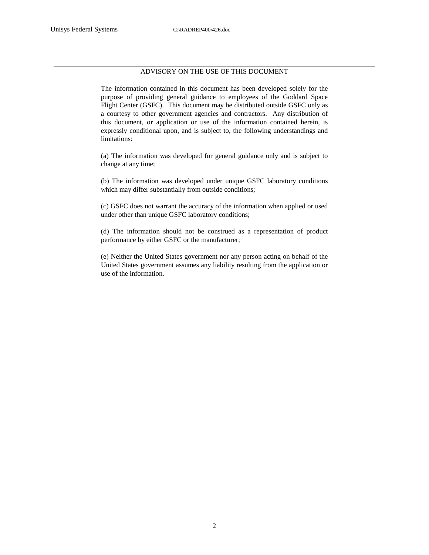### \_\_\_\_\_\_\_\_\_\_\_\_\_\_\_\_\_\_\_\_\_\_\_\_\_\_\_\_\_\_\_\_\_\_\_\_\_\_\_\_\_\_\_\_\_\_\_\_\_\_\_\_\_\_\_\_\_\_\_\_\_\_\_\_\_\_\_\_\_\_\_\_\_\_\_\_\_\_\_\_\_\_\_\_\_\_\_\_\_\_\_ ADVISORY ON THE USE OF THIS DOCUMENT

The information contained in this document has been developed solely for the purpose of providing general guidance to employees of the Goddard Space Flight Center (GSFC). This document may be distributed outside GSFC only as a courtesy to other government agencies and contractors. Any distribution of this document, or application or use of the information contained herein, is expressly conditional upon, and is subject to, the following understandings and limitations:

(a) The information was developed for general guidance only and is subject to change at any time;

(b) The information was developed under unique GSFC laboratory conditions which may differ substantially from outside conditions;

(c) GSFC does not warrant the accuracy of the information when applied or used under other than unique GSFC laboratory conditions;

(d) The information should not be construed as a representation of product performance by either GSFC or the manufacturer;

(e) Neither the United States government nor any person acting on behalf of the United States government assumes any liability resulting from the application or use of the information.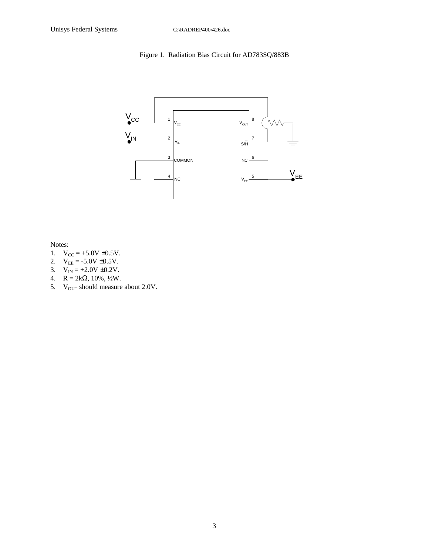### Figure 1. Radiation Bias Circuit for AD783SQ/883B



Notes:

- 1.  $V_{CC} = +5.0V \pm 0.5V$ .
- 2.  $V_{EE} = -5.0V \pm 0.5V$ .
- 3.  $V_{IN} = +2.0V \pm 0.2V$ .
- 4.  $R = 2k\Omega$ , 10%, 1/2W.
- 5. V<sub>OUT</sub> should measure about 2.0V.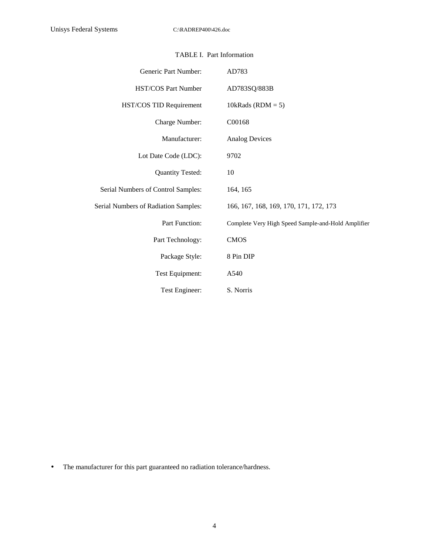| Generic Part Number:                 | AD783                                              |
|--------------------------------------|----------------------------------------------------|
| <b>HST/COS Part Number</b>           | AD783SQ/883B                                       |
| HST/COS TID Requirement              | 10kRads (RDM = $5$ )                               |
| Charge Number:                       | C00168                                             |
| Manufacturer:                        | <b>Analog Devices</b>                              |
| Lot Date Code (LDC):                 | 9702                                               |
| <b>Quantity Tested:</b>              | 10                                                 |
| Serial Numbers of Control Samples:   | 164, 165                                           |
| Serial Numbers of Radiation Samples: | 166, 167, 168, 169, 170, 171, 172, 173             |
| Part Function:                       | Complete Very High Speed Sample-and-Hold Amplifier |
| Part Technology:                     | <b>CMOS</b>                                        |
| Package Style:                       | 8 Pin DIP                                          |
| Test Equipment:                      | A540                                               |
| Test Engineer:                       | S. Norris                                          |

### TABLE I. Part Information

• The manufacturer for this part guaranteed no radiation tolerance/hardness.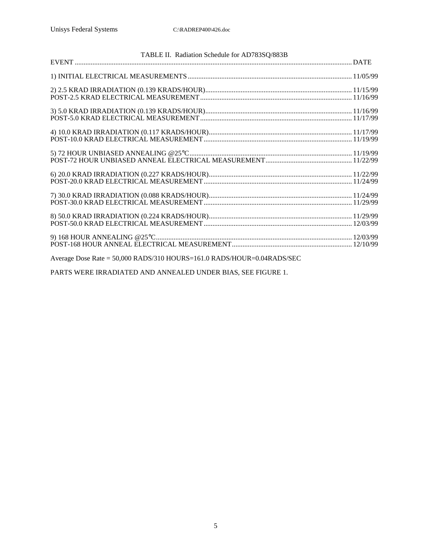| TABLE II. Radiation Schedule for AD783SQ/883B                          |  |
|------------------------------------------------------------------------|--|
|                                                                        |  |
|                                                                        |  |
|                                                                        |  |
|                                                                        |  |
|                                                                        |  |
|                                                                        |  |
|                                                                        |  |
|                                                                        |  |
|                                                                        |  |
|                                                                        |  |
|                                                                        |  |
|                                                                        |  |
|                                                                        |  |
|                                                                        |  |
|                                                                        |  |
|                                                                        |  |
|                                                                        |  |
|                                                                        |  |
| Average Dose Rate = 50,000 RADS/310 HOURS=161.0 RADS/HOUR=0.04RADS/SEC |  |

PARTS WERE IRRADIATED AND ANNEALED UNDER BIAS, SEE FIGURE 1.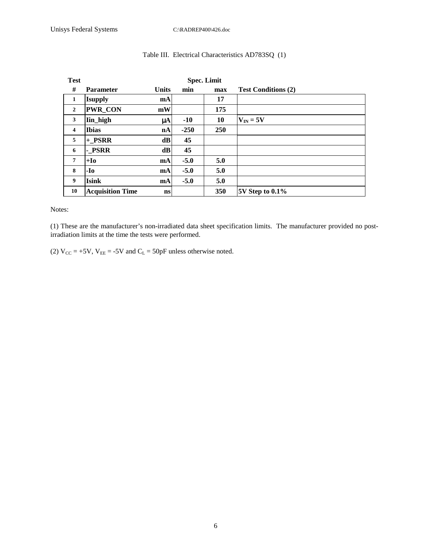| <b>Test</b>             | <b>Spec. Limit</b>      |              |        |     |                            |  |  |  |  |  |  |
|-------------------------|-------------------------|--------------|--------|-----|----------------------------|--|--|--|--|--|--|
| #                       | <b>Parameter</b>        | <b>Units</b> | min    | max | <b>Test Conditions (2)</b> |  |  |  |  |  |  |
| 1                       | <b>Isupply</b>          | mA           |        | 17  |                            |  |  |  |  |  |  |
| $\overline{2}$          | <b>PWR_CON</b>          | mW           |        | 175 |                            |  |  |  |  |  |  |
| 3                       | Iin_high                | μA           | $-10$  | 10  | $V_{IN} = 5V$              |  |  |  |  |  |  |
| $\overline{\mathbf{4}}$ | <b>Ibias</b>            | nA           | $-250$ | 250 |                            |  |  |  |  |  |  |
| 5                       | + PSRR                  | dB           | 45     |     |                            |  |  |  |  |  |  |
| 6                       | - PSRR                  | d <b>B</b>   | 45     |     |                            |  |  |  |  |  |  |
| $\overline{7}$          | $+I0$                   | mA           | $-5.0$ | 5.0 |                            |  |  |  |  |  |  |
| 8                       | -Io                     | mA           | $-5.0$ | 5.0 |                            |  |  |  |  |  |  |
| 9                       | <b>Isink</b>            | <b>mA</b>    | $-5.0$ | 5.0 |                            |  |  |  |  |  |  |
| 10                      | <b>Acquisition Time</b> | ns           |        | 350 | $5V$ Step to $0.1\%$       |  |  |  |  |  |  |

### Table III. Electrical Characteristics AD783SQ (1)

Notes:

(1) These are the manufacturer's non-irradiated data sheet specification limits. The manufacturer provided no postirradiation limits at the time the tests were performed.

(2)  $V_{CC} = +5V$ ,  $V_{EE} = -5V$  and  $C_L = 50p$ F unless otherwise noted.